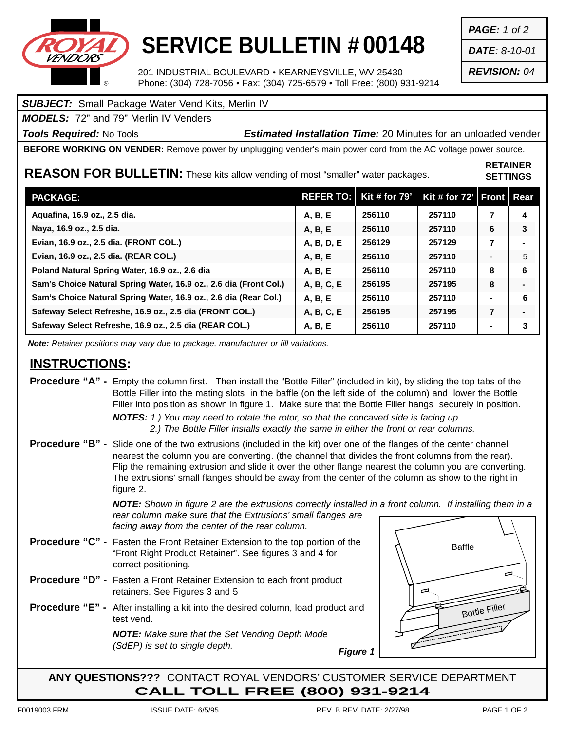

## **SERVICE BULLETIN # 00148**

201 INDUSTRIAL BOULEVARD • KEARNEYSVILLE, WV 25430 Phone: (304) 728-7056 • Fax: (304) 725-6579 • Toll Free: (800) 931-9214

## *SUBJECT:* Small Package Water Vend Kits, Merlin IV

*MODELS:* 72" and 79" Merlin IV Venders

*Tools Required:* No Tools *Estimated Installation Time:* 20 Minutes for an unloaded vender

**BEFORE WORKING ON VENDER:** Remove power by unplugging vender's main power cord from the AC voltage power source.

**REASON FOR BULLETIN:** These kits allow vending of most "smaller" water packages.

| <b>RETAINER</b> |
|-----------------|
| <b>SETTINGS</b> |

| <b>PACKAGE:</b>                                                   | <b>REFER TO:</b> | Kit # for $79'$ | Kit # for 72'   Front   Rear |   |                |
|-------------------------------------------------------------------|------------------|-----------------|------------------------------|---|----------------|
| Aguafina, 16.9 oz., 2.5 dia.                                      | A, B, E          | 256110          | 257110                       | 7 | 4              |
| Naya, 16.9 oz., 2.5 dia.                                          | A, B, E          | 256110          | 257110                       | 6 | 3              |
| Evian, 16.9 oz., 2.5 dia. (FRONT COL.)                            | A, B, D, E       | 256129          | 257129                       | 7 |                |
| Evian, 16.9 oz., 2.5 dia. (REAR COL.)                             | A, B, E          | 256110          | 257110                       |   | 5              |
| Poland Natural Spring Water, 16.9 oz., 2.6 dia                    | A, B, E          | 256110          | 257110                       | 8 | 6              |
| Sam's Choice Natural Spring Water, 16.9 oz., 2.6 dia (Front Col.) | A, B, C, E       | 256195          | 257195                       | 8 | $\blacksquare$ |
| Sam's Choice Natural Spring Water, 16.9 oz., 2.6 dia (Rear Col.)  | A, B, E          | 256110          | 257110                       |   | 6              |
| Safeway Select Refreshe, 16.9 oz., 2.5 dia (FRONT COL.)           | A, B, C, E       | 256195          | 257195                       |   |                |
| Safeway Select Refreshe, 16.9 oz., 2.5 dia (REAR COL.)            | A, B, E          | 256110          | 257110                       |   | 3              |

*Note: Retainer positions may vary due to package, manufacturer or fill variations.*

## **INSTRUCTIONS:**

**Procedure "A" -** Empty the column first. Then install the "Bottle Filler" (included in kit), by sliding the top tabs of the Bottle Filler into the mating slots in the baffle (on the left side of the column) and lower the Bottle Filler into position as shown in figure 1. Make sure that the Bottle Filler hangs securely in position.

*NOTES: 1.) You may need to rotate the rotor, so that the concaved side is facing up. 2.) The Bottle Filler installs exactly the same in either the front or rear columns.*

**Procedure "B" -** Slide one of the two extrusions (included in the kit) over one of the flanges of the center channel nearest the column you are converting. (the channel that divides the front columns from the rear). Flip the remaining extrusion and slide it over the other flange nearest the column you are converting. The extrusions' small flanges should be away from the center of the column as show to the right in figure 2.

> *NOTE: Shown in figure 2 are the extrusions correctly installed in a front column. If installing them in a rear column make sure that the Extrusions' small flanges are facing away from the center of the rear column.*

- **Procedure "C" -** Fasten the Front Retainer Extension to the top portion of the "Front Right Product Retainer". See figures 3 and 4 for correct positioning.
- **Procedure "D" -** Fasten a Front Retainer Extension to each front product retainers. See Figures 3 and 5
- **Procedure "E" -** After installing a kit into the desired column, load product and test vend.

*NOTE: Make sure that the Set Vending Depth Mode (SdEP) is set to single depth.*



**ANY QUESTIONS???** CONTACT ROYAL VENDORS' CUSTOMER SERVICE DEPARTMENT **CALL TOLL FREE (800) 931-9214**

*Figure 1*

*PAGE: 1 of 2*

*DATE: 8-10-01*

*REVISION: 04*